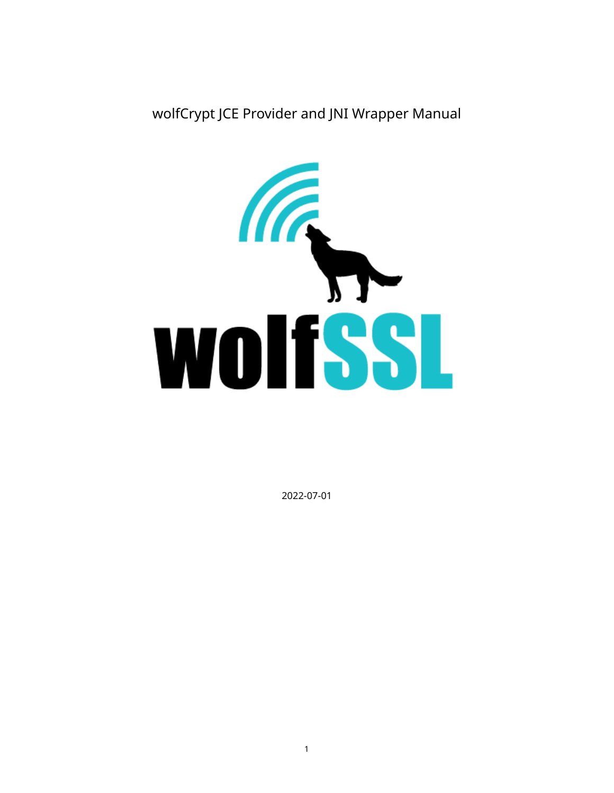wolfCrypt JCE Provider and JNI Wrapper Manual



2022-07-01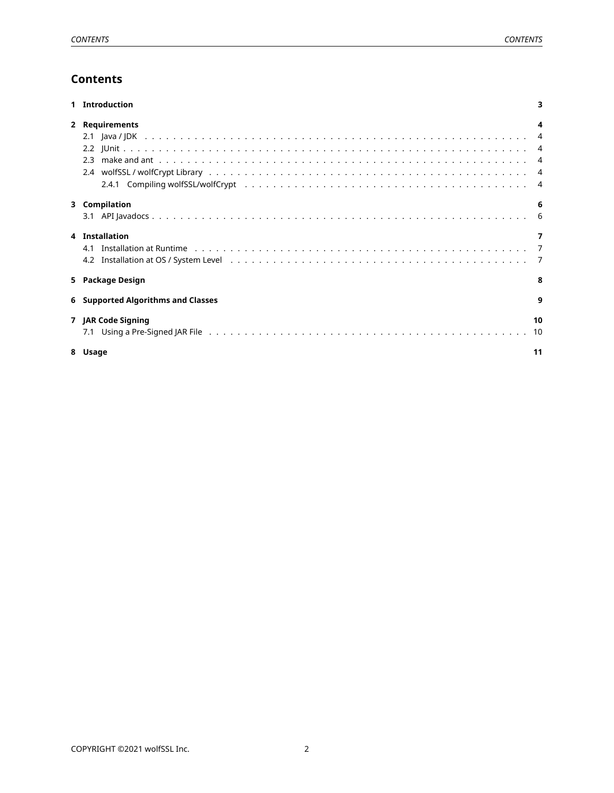# **Contents**

<span id="page-1-0"></span>

| Introduction                                                                                                                                                                                                                                     |          |
|--------------------------------------------------------------------------------------------------------------------------------------------------------------------------------------------------------------------------------------------------|----------|
| 2 Requirements                                                                                                                                                                                                                                   |          |
|                                                                                                                                                                                                                                                  |          |
|                                                                                                                                                                                                                                                  |          |
| 3 Compilation                                                                                                                                                                                                                                    | 6        |
| 4 Installation<br>4.1 Installation at Runtime (a) and a contract of the contract of the contract of the contract of the contract of the contract of the contract of the contract of the contract of the contract of the contract of the contract |          |
| 5 Package Design                                                                                                                                                                                                                                 | 8        |
| 6 Supported Algorithms and Classes                                                                                                                                                                                                               | q        |
| 7 JAR Code Signing                                                                                                                                                                                                                               | 10<br>10 |
| 8 Usage                                                                                                                                                                                                                                          | 11       |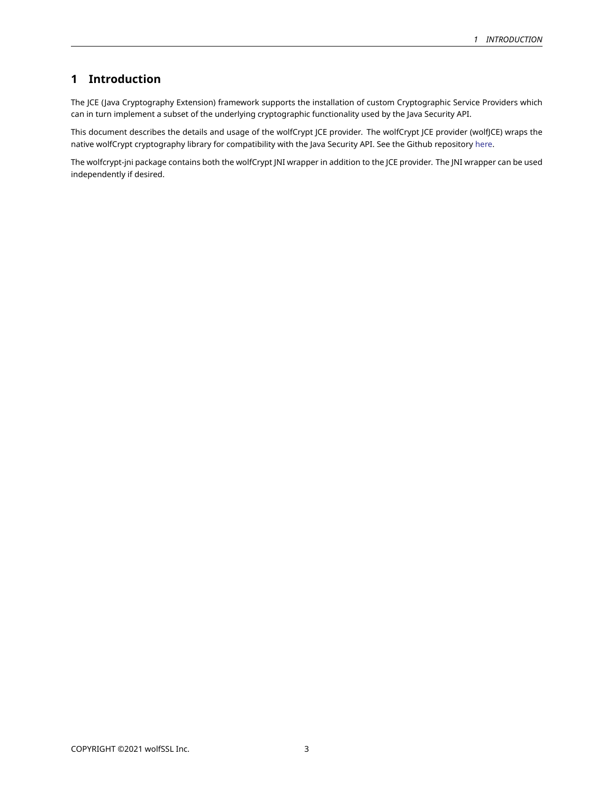# **1 Introduction**

The JCE (Java Cryptography Extension) framework supports the installation of custom Cryptographic Service Providers which can in turn implement a subset of the underlying cryptographic functionality used by the Java Security API.

This document describes the details and usage of the wolfCrypt JCE provider. The wolfCrypt JCE provider (wolfJCE) wraps the native wolfCrypt cryptography library for compatibility with the Java Security API. See the Github repository [here](https://github.com/wolfSSL/wolfcrypt-jni).

<span id="page-2-0"></span>The wolfcrypt-jni package contains both the wolfCrypt JNI wrapper in addition to the JCE provider. The JNI wrapper can be used independently if desired.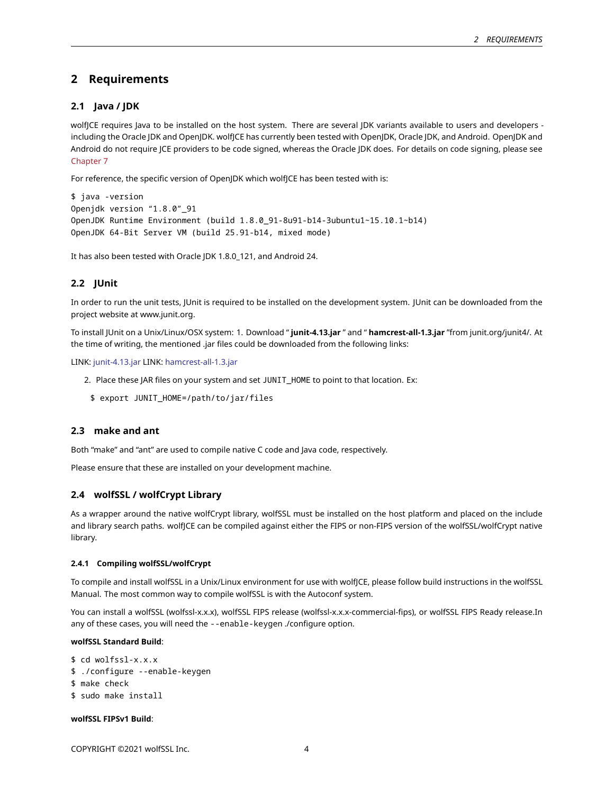## **2 Requirements**

### <span id="page-3-0"></span>**2.1 Java / JDK**

wolfJCE requires Java to be installed on the host system. There are several JDK variants available to users and developers including the Oracle JDK and OpenJDK. wolfJCE has currently been tested with OpenJDK, Oracle JDK, and Android. OpenJDK and Android do not require JCE providers to be code signed, whereas the Oracle JDK does. For details on code signing, please see [Chapter 7](#page-8-0)

For reference, the specific version of OpenJDK which wolfJCE has been tested with is:

```
$ java -version
Openjdk version "1.8.0"_91
OpenJDK Runtime Environment (build 1.8.0_91-8u91-b14-3ubuntu1~15.10.1~b14)
OpenJDK 64-Bit Server VM (build 25.91-b14, mixed mode)
```
<span id="page-3-1"></span>It has also been tested with Oracle JDK 1.8.0\_121, and Android 24.

### **2.2 JUnit**

In order to run the unit tests, JUnit is required to be installed on the development system. JUnit can be downloaded from the project website at www.junit.org.

To install JUnit on a Unix/Linux/OSX system: 1. Download " **junit-4.13.jar** " and " **hamcrest-all-1.3.jar** "from junit.org/junit4/. At the time of writing, the mentioned .jar files could be downloaded from the following links:

LINK: [junit-4.13.jar](https://search.maven.org/search?q=g:junit%20AND%20a:junit) LINK: [hamcrest-all-1.3.jar](https://search.maven.org/artifact/org.hamcrest/hamcrest-all/1.3/jar)

- 2. Place these JAR files on your system and set JUNIT\_HOME to point to that location. Ex:
	- \$ export JUNIT\_HOME=/path/to/jar/files

### <span id="page-3-2"></span>**2.3 make and ant**

Both "make" and "ant" are used to compile native C code and Java code, respectively.

<span id="page-3-3"></span>Please ensure that these are installed on your development machine.

## **2.4 wolfSSL / wolfCrypt Library**

As a wrapper around the native wolfCrypt library, wolfSSL must be installed on the host platform and placed on the include and library search paths. wolfJCE can be compiled against either the FIPS or non-FIPS version of the wolfSSL/wolfCrypt native library.

#### <span id="page-3-4"></span>**2.4.1 Compiling wolfSSL/wolfCrypt**

To compile and install wolfSSL in a Unix/Linux environment for use with wolfJCE, please follow build instructions in the wolfSSL Manual. The most common way to compile wolfSSL is with the Autoconf system.

You can install a wolfSSL (wolfssl-x.x.x), wolfSSL FIPS release (wolfssl-x.x.x-commercial-fips), or wolfSSL FIPS Ready release.In any of these cases, you will need the --enable-keygen ./configure option.

#### **wolfSSL Standard Build**:

- \$ cd wolfssl-x.x.x
- \$ ./configure --enable-keygen
- \$ make check
- \$ sudo make install

#### **wolfSSL FIPSv1 Build**: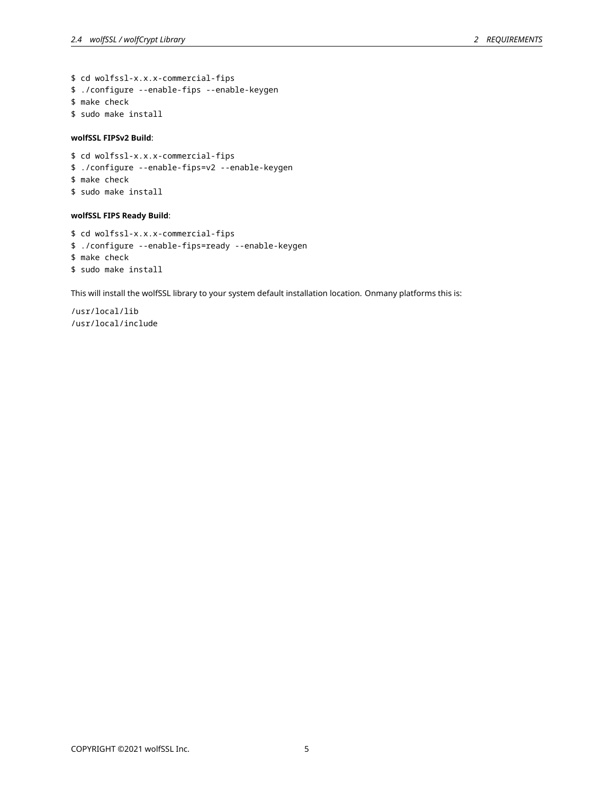\$ cd wolfssl-x.x.x-commercial-fips \$ ./configure --enable-fips --enable-keygen \$ make check \$ sudo make install

### **wolfSSL FIPSv2 Build**:

\$ cd wolfssl-x.x.x-commercial-fips \$ ./configure --enable-fips=v2 --enable-keygen \$ make check \$ sudo make install

### **wolfSSL FIPS Ready Build**:

\$ cd wolfssl-x.x.x-commercial-fips \$ ./configure --enable-fips=ready --enable-keygen \$ make check \$ sudo make install

This will install the wolfSSL library to your system default installation location. Onmany platforms this is:

<span id="page-4-0"></span>/usr/local/lib /usr/local/include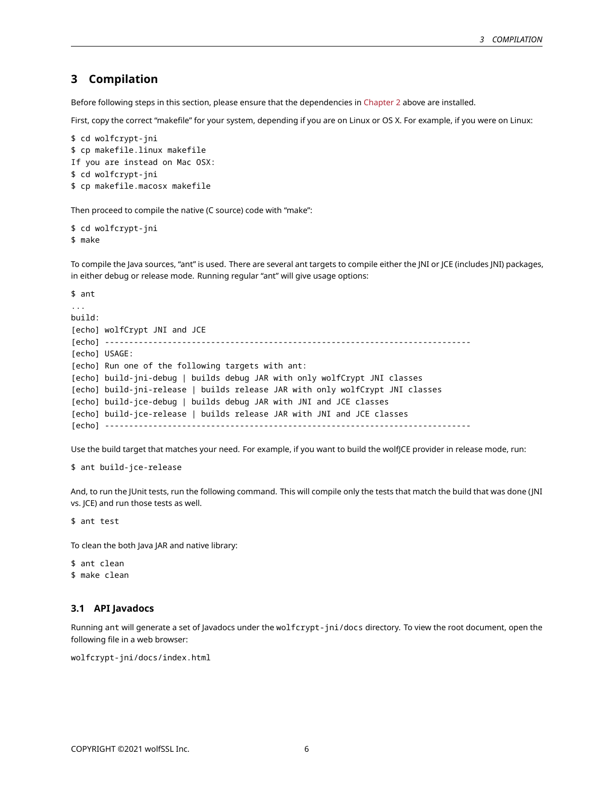## **3 Compilation**

Before following steps in this section, please ensure that the dependencies in [Chapter 2](#page-2-0) above are installed.

First, copy the correct "makefile" for your system, depending if you are on Linux or OS X. For example, if you were on Linux:

```
$ cd wolfcrypt-jni
$ cp makefile.linux makefile
If you are instead on Mac OSX:
$ cd wolfcrypt-jni
$ cp makefile.macosx makefile
```
Then proceed to compile the native (C source) code with "make":

```
$ cd wolfcrypt-jni
$ make
```
To compile the Java sources, "ant" is used. There are several ant targets to compile either the JNI or JCE (includes JNI) packages, in either debug or release mode. Running regular "ant" will give usage options:

```
$ ant
...
build:
[echo] wolfCrypt JNI and JCE
[echo] ----------------------------------------------------------------------------
[echo] USAGE:
[echo] Run one of the following targets with ant:
[echo] build-jni-debug | builds debug JAR with only wolfCrypt JNI classes
[echo] build-jni-release | builds release JAR with only wolfCrypt JNI classes
[echo] build-jce-debug | builds debug JAR with JNI and JCE classes
[echo] build-jce-release | builds release JAR with JNI and JCE classes
[echo] ----------------------------------------------------------------------------
```
Use the build target that matches your need. For example, if you want to build the wolfJCE provider in release mode, run:

```
$ ant build-jce-release
```
And, to run the JUnit tests, run the following command. This will compile only the tests that match the build that was done (JNI vs. JCE) and run those tests as well.

\$ ant test

To clean the both Java JAR and native library:

\$ ant clean \$ make clean

### <span id="page-5-0"></span>**3.1 API Javadocs**

Running ant will generate a set of Javadocs under the wolfcrypt-jni/docs directory. To view the root document, open the following file in a web browser:

<span id="page-5-1"></span>wolfcrypt-jni/docs/index.html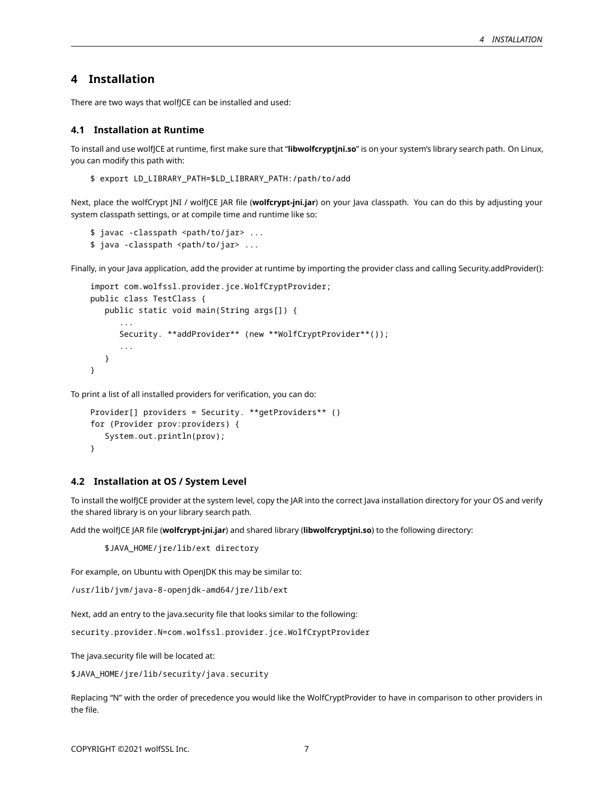# **4 Installation**

<span id="page-6-0"></span>There are two ways that wolf|CE can be installed and used:

#### **4.1 Installation at Runtime**

To install and use wolfJCE at runtime, first make sure that "**libwolfcryptjni.so**" is on your system's library search path. On Linux, you can modify this path with:

\$ export LD\_LIBRARY\_PATH=\$LD\_LIBRARY\_PATH:/path/to/add

Next, place the wolfCrypt JNI / wolfJCE JAR file (**wolfcrypt-jni.jar**) on your Java classpath. You can do this by adjusting your system classpath settings, or at compile time and runtime like so:

```
$ javac -classpath <path/to/jar> ...
$ java -classpath <path/to/jar> ...
```
Finally, in your Java application, add the provider at runtime by importing the provider class and calling Security.addProvider():

```
import com.wolfssl.provider.jce.WolfCryptProvider;
public class TestClass {
   public static void main(String args[]) {
      ...
      Security. **addProvider** (new **WolfCryptProvider**());
      ...
   }
}
```
To print a list of all installed providers for verification, you can do:

```
Provider[] providers = Security. **getProviders** ()
for (Provider prov:providers) {
   System.out.println(prov);
}
```
### <span id="page-6-1"></span>**4.2 Installation at OS / System Level**

To install the wolfJCE provider at the system level, copy the JAR into the correct Java installation directory for your OS and verify the shared library is on your library search path.

Add the wolfJCE JAR file (**wolfcrypt-jni.jar**) and shared library (**libwolfcryptjni.so**) to the following directory:

\$JAVA\_HOME/jre/lib/ext directory

For example, on Ubuntu with OpenJDK this may be similar to:

/usr/lib/jvm/java-8-openjdk-amd64/jre/lib/ext

Next, add an entry to the java.security file that looks similar to the following:

security.provider.N=com.wolfssl.provider.jce.WolfCryptProvider

The java.security file will be located at:

\$JAVA\_HOME/jre/lib/security/java.security

<span id="page-6-2"></span>Replacing "N" with the order of precedence you would like the WolfCryptProvider to have in comparison to other providers in the file.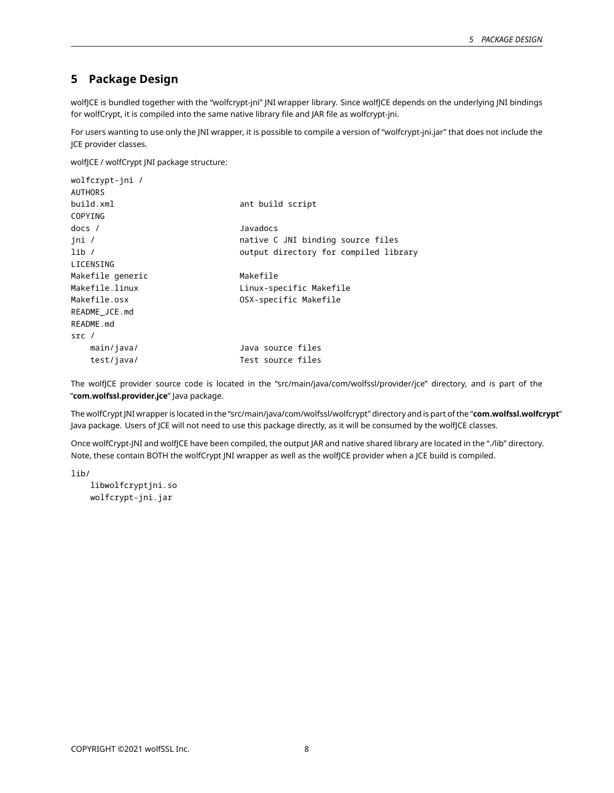# **5 Package Design**

wolfJCE is bundled together with the "wolfcrypt-jni" JNI wrapper library. Since wolfJCE depends on the underlying JNI bindings for wolfCrypt, it is compiled into the same native library file and JAR file as wolfcrypt-jni.

For users wanting to use only the JNI wrapper, it is possible to compile a version of "wolfcrypt-jni.jar" that does not include the JCE provider classes.

wolfJCE / wolfCrypt JNI package structure:

| wolfcrypt-jni /  |                                       |
|------------------|---------------------------------------|
| <b>AUTHORS</b>   |                                       |
| build.xml        | ant build script                      |
| COPYING          |                                       |
| $docs$ /         | Javadocs                              |
| ini /            | native C JNI binding source files     |
| lib/             | output directory for compiled library |
| LICENSING        |                                       |
| Makefile generic | Makefile                              |
| Makefile.linux   | Linux-specific Makefile               |
| Makefile.osx     | OSX-specific Makefile                 |
| README_JCE.md    |                                       |
| README.md        |                                       |
| src /            |                                       |
| main/java/       | Java source files                     |
| test/java/       | Test source files                     |
|                  |                                       |

The wolfJCE provider source code is located in the "src/main/java/com/wolfssl/provider/jce" directory, and is part of the "**com.wolfssl.provider.jce**" Java package.

The wolfCrypt JNI wrapper is located in the "src/main/java/com/wolfssl/wolfcrypt" directory and is part of the "**com.wolfssl.wolfcrypt**" Java package. Users of JCE will not need to use this package directly, as it will be consumed by the wolfJCE classes.

Once wolfCrypt-JNI and wolfJCE have been compiled, the output JAR and native shared library are located in the "./lib" directory. Note, these contain BOTH the wolfCrypt JNI wrapper as well as the wolfJCE provider when a JCE build is compiled.

lib/

<span id="page-7-0"></span>libwolfcryptjni.so wolfcrypt-jni.jar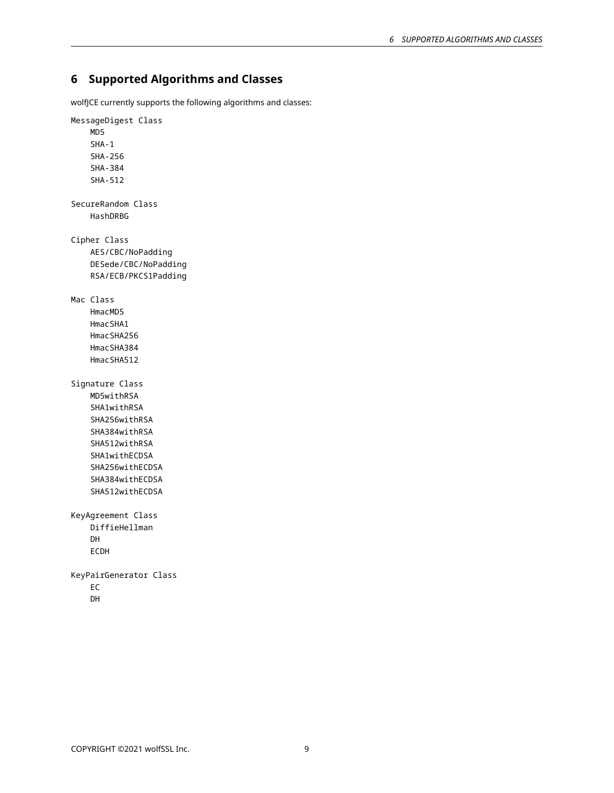# **6 Supported Algorithms and Classes**

wolfJCE currently supports the following algorithms and classes:

<span id="page-8-0"></span>MessageDigest Class MD5 SHA-1 SHA-256 SHA-384 SHA-512 SecureRandom Class HashDRBG Cipher Class AES/CBC/NoPadding DESede/CBC/NoPadding RSA/ECB/PKCS1Padding Mac Class HmacMD5 HmacSHA1 HmacSHA256 HmacSHA384 HmacSHA512 Signature Class MD5withRSA SHA1withRSA SHA256withRSA SHA384withRSA SHA512withRSA SHA1withECDSA SHA256withECDSA SHA384withECDSA SHA512withECDSA KeyAgreement Class DiffieHellman DH ECDH KeyPairGenerator Class EC DH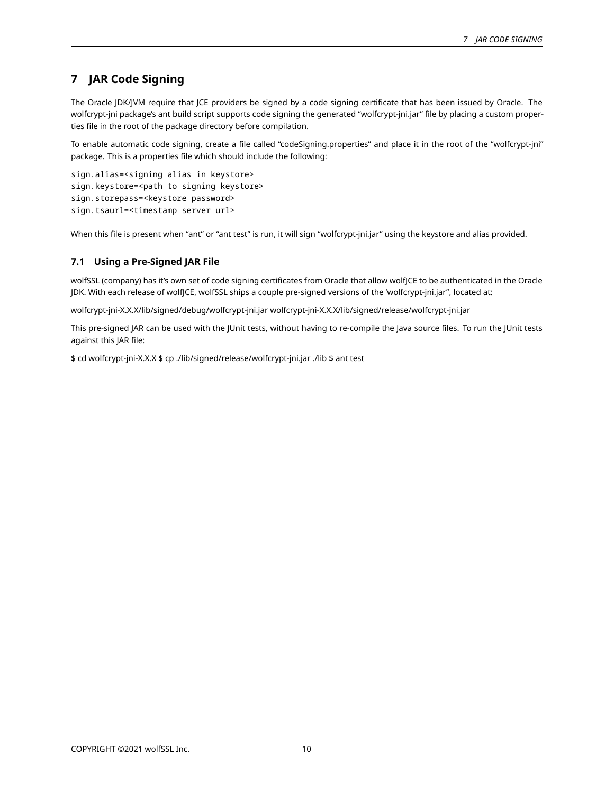# **7 JAR Code Signing**

The Oracle JDK/JVM require that JCE providers be signed by a code signing certificate that has been issued by Oracle. The wolfcrypt-jni package's ant build script supports code signing the generated "wolfcrypt-jni.jar" file by placing a custom properties file in the root of the package directory before compilation.

To enable automatic code signing, create a file called "codeSigning.properties" and place it in the root of the "wolfcrypt-jni" package. This is a properties file which should include the following:

```
sign.alias=<signing alias in keystore>
sign.keystore=<path to signing keystore>
sign.storepass=<keystore password>
sign.tsaurl=<timestamp server url>
```
<span id="page-9-0"></span>When this file is present when "ant" or "ant test" is run, it will sign "wolfcrypt-jni.jar" using the keystore and alias provided.

## **7.1 Using a Pre-Signed JAR File**

wolfSSL (company) has it's own set of code signing certificates from Oracle that allow wolfJCE to be authenticated in the Oracle JDK. With each release of wolfJCE, wolfSSL ships a couple pre-signed versions of the 'wolfcrypt-jni.jar", located at:

wolfcrypt-jni-X.X.X/lib/signed/debug/wolfcrypt-jni.jar wolfcrypt-jni-X.X.X/lib/signed/release/wolfcrypt-jni.jar

This pre-signed JAR can be used with the JUnit tests, without having to re-compile the Java source files. To run the JUnit tests against this JAR file:

<span id="page-9-1"></span>\$ cd wolfcrypt-jni-X.X.X \$ cp ./lib/signed/release/wolfcrypt-jni.jar ./lib \$ ant test